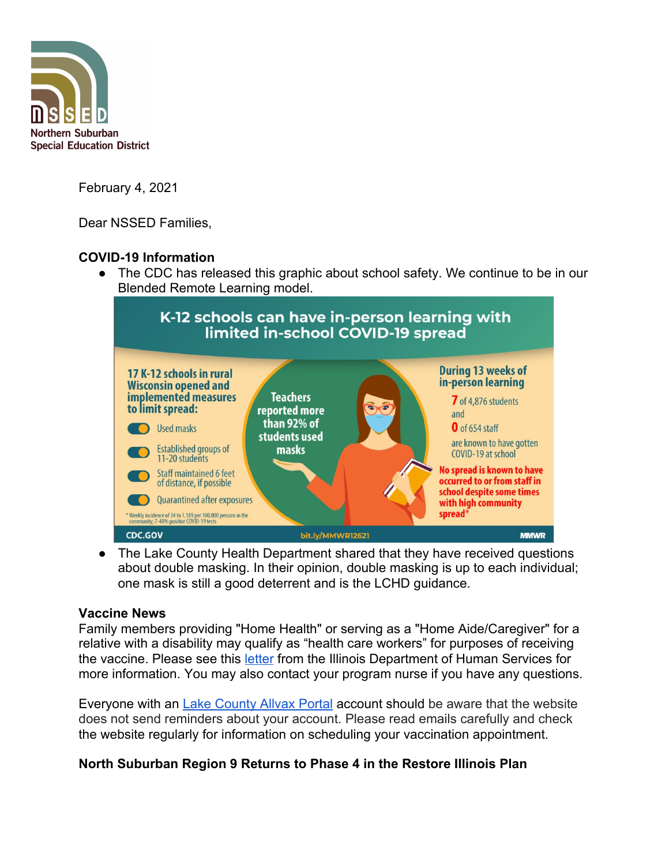

February 4, 2021

Dear NSSED Families,

# **COVID-19 Information**

• The CDC has released this graphic about school safety. We continue to be in our Blended Remote Learning model.



• The Lake County Health Department shared that they have received questions about double masking. In their opinion, double masking is up to each individual; one mask is still a good deterrent and is the LCHD guidance.

### **Vaccine News**

Family members providing "Home Health" or serving as a "Home Aide/Caregiver" for a relative with a disability may qualify as "health care workers" for purposes of receiving the vaccine. Please see this [letter](https://www.dhs.state.il.us/page.aspx?item=131557) from the Illinois Department of Human Services for more information. You may also contact your program nurse if you have any questions.

Everyone with an [Lake County Allvax Portal](https://allvax.lakecohealth.org/s/?language=en_US) account should be aware that the website does not send reminders about your account. Please read emails carefully and check the website regularly for information on scheduling your vaccination appointment.

## **North Suburban Region 9 Returns to Phase 4 in the Restore Illinois Plan**